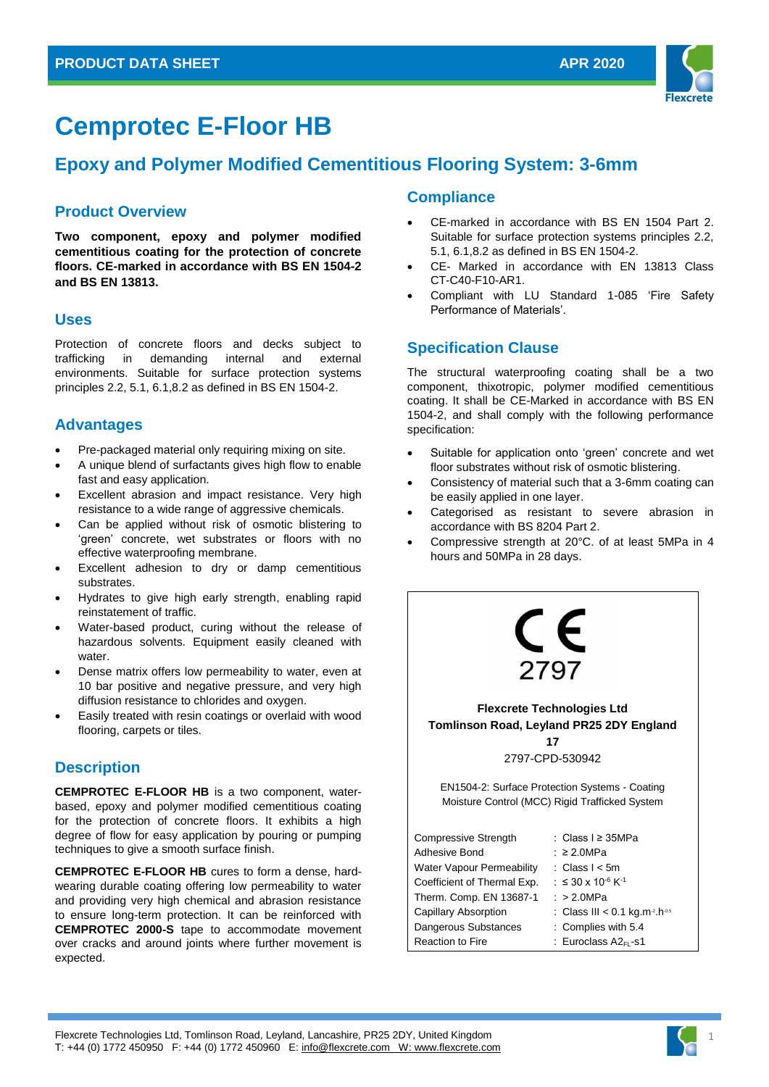

# **Cemprotec E-Floor HB**

# **Epoxy and Polymer Modified Cementitious Flooring System: 3-6mm**

## **Product Overview**

**Two component, epoxy and polymer modified cementitious coating for the protection of concrete floors. CE-marked in accordance with BS EN 1504-2 and BS EN 13813.**

## **Uses**

Protection of concrete floors and decks subject to trafficking in demanding internal and external environments. Suitable for surface protection systems principles 2.2, 5.1, 6.1,8.2 as defined in BS EN 1504-2.

# **Advantages**

- Pre-packaged material only requiring mixing on site.
- A unique blend of surfactants gives high flow to enable fast and easy application.
- Excellent abrasion and impact resistance. Very high resistance to a wide range of aggressive chemicals.
- Can be applied without risk of osmotic blistering to 'green' concrete, wet substrates or floors with no effective waterproofing membrane.
- Excellent adhesion to dry or damp cementitious substrates.
- Hydrates to give high early strength, enabling rapid reinstatement of traffic.
- Water-based product, curing without the release of hazardous solvents. Equipment easily cleaned with water.
- Dense matrix offers low permeability to water, even at 10 bar positive and negative pressure, and very high diffusion resistance to chlorides and oxygen.
- Easily treated with resin coatings or overlaid with wood flooring, carpets or tiles.

# **Description**

**CEMPROTEC E-FLOOR HB** is a two component, waterbased, epoxy and polymer modified cementitious coating for the protection of concrete floors. It exhibits a high degree of flow for easy application by pouring or pumping techniques to give a smooth surface finish.

**CEMPROTEC E-FLOOR HB** cures to form a dense, hardwearing durable coating offering low permeability to water and providing very high chemical and abrasion resistance to ensure long-term protection. It can be reinforced with **CEMPROTEC 2000-S** tape to accommodate movement over cracks and around joints where further movement is expected.

# **Compliance**

- CE-marked in accordance with BS EN 1504 Part 2. Suitable for surface protection systems principles 2.2, 5.1, 6.1,8.2 as defined in BS EN 1504-2.
- CE- Marked in accordance with EN 13813 Class CT-C40-F10-AR1.
- Compliant with LU Standard 1-085 'Fire Safety Performance of Materials'.

# **Specification Clause**

The structural waterproofing coating shall be a two component, thixotropic, polymer modified cementitious coating. It shall be CE-Marked in accordance with BS EN 1504-2, and shall comply with the following performance specification:

- Suitable for application onto 'green' concrete and wet floor substrates without risk of osmotic blistering.
- Consistency of material such that a 3-6mm coating can be easily applied in one layer.
- Categorised as resistant to severe abrasion in accordance with BS 8204 Part 2.
- Compressive strength at 20°C. of at least 5MPa in 4 hours and 50MPa in 28 days.



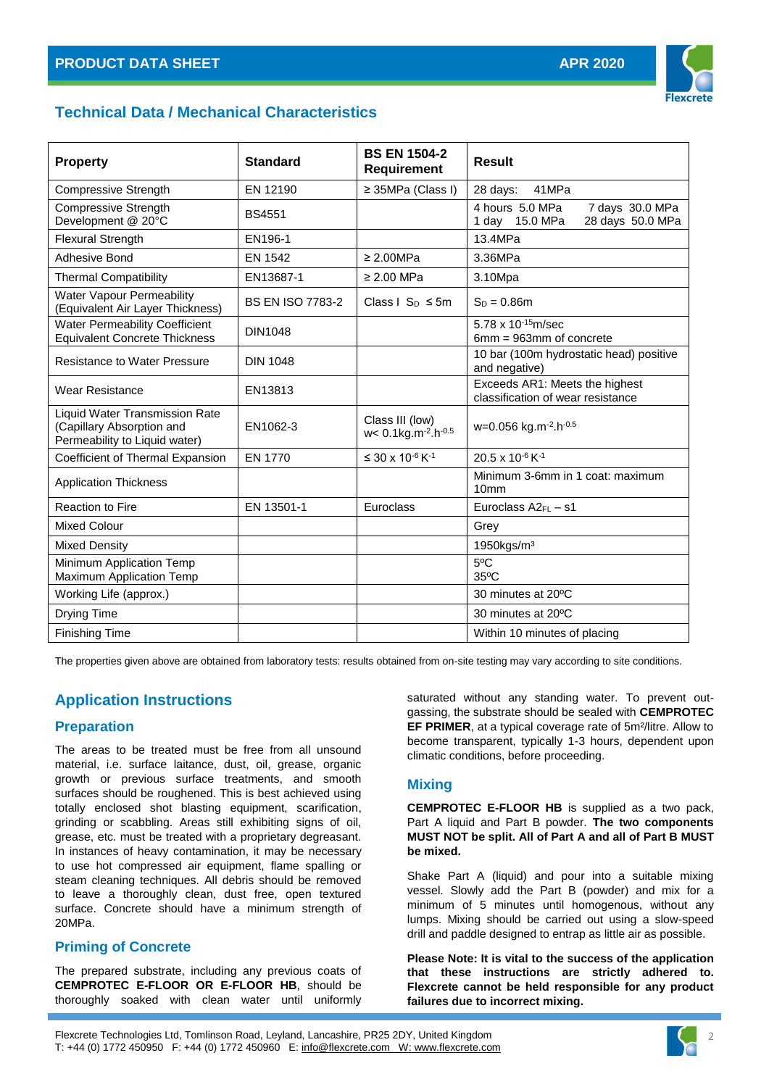

# **Technical Data / Mechanical Characteristics**

| <b>Property</b>                                                                                     | <b>Standard</b>         | <b>BS EN 1504-2</b><br><b>Requirement</b>                          | <b>Result</b>                                                            |
|-----------------------------------------------------------------------------------------------------|-------------------------|--------------------------------------------------------------------|--------------------------------------------------------------------------|
| <b>Compressive Strength</b>                                                                         | EN 12190                | ≥ 35MPa (Class I)                                                  | 41MPa<br>28 days:                                                        |
| <b>Compressive Strength</b><br>Development @ 20°C                                                   | <b>BS4551</b>           |                                                                    | 4 hours 5.0 MPa<br>7 days 30.0 MPa<br>28 days 50.0 MPa<br>1 day 15.0 MPa |
| <b>Flexural Strength</b>                                                                            | EN196-1                 |                                                                    | 13.4MPa                                                                  |
| Adhesive Bond                                                                                       | EN 1542                 | $\geq 2.00 MPa$                                                    | 3.36MPa                                                                  |
| <b>Thermal Compatibility</b>                                                                        | EN13687-1               | $\geq$ 2.00 MPa                                                    | 3.10Mpa                                                                  |
| Water Vapour Permeability<br>(Equivalent Air Layer Thickness)                                       | <b>BS EN ISO 7783-2</b> | Class $1 \text{ Sn } \leq 5 \text{m}$                              | $S_D = 0.86m$                                                            |
| <b>Water Permeability Coefficient</b><br><b>Equivalent Concrete Thickness</b>                       | <b>DIN1048</b>          |                                                                    | 5.78 x $10^{-15}$ m/sec<br>6mm = 963mm of concrete                       |
| <b>Resistance to Water Pressure</b>                                                                 | <b>DIN 1048</b>         |                                                                    | 10 bar (100m hydrostatic head) positive<br>and negative)                 |
| <b>Wear Resistance</b>                                                                              | EN13813                 |                                                                    | Exceeds AR1: Meets the highest<br>classification of wear resistance      |
| <b>Liquid Water Transmission Rate</b><br>(Capillary Absorption and<br>Permeability to Liquid water) | EN1062-3                | Class III (low)<br>$w < 0.1$ kg.m <sup>-2</sup> .h <sup>-0.5</sup> | w=0.056 kg.m <sup>-2</sup> .h <sup>-0.5</sup>                            |
| Coefficient of Thermal Expansion                                                                    | EN 1770                 | ≤ 30 x 10 <sup>-6</sup> K <sup>-1</sup>                            | 20.5 x 10 <sup>-6</sup> K <sup>-1</sup>                                  |
| <b>Application Thickness</b>                                                                        |                         |                                                                    | Minimum 3-6mm in 1 coat: maximum<br>10 <sub>mm</sub>                     |
| <b>Reaction to Fire</b>                                                                             | EN 13501-1              | Euroclass                                                          | Euroclass $A2_{FL} - S1$                                                 |
| <b>Mixed Colour</b>                                                                                 |                         |                                                                    | Grey                                                                     |
| Mixed Density                                                                                       |                         |                                                                    | 1950kgs/m <sup>3</sup>                                                   |
| Minimum Application Temp<br>Maximum Application Temp                                                |                         |                                                                    | 5°C<br>$35^{\circ}$ C                                                    |
| Working Life (approx.)                                                                              |                         |                                                                    | 30 minutes at 20°C                                                       |
| Drying Time                                                                                         |                         |                                                                    | 30 minutes at 20°C                                                       |
| <b>Finishing Time</b>                                                                               |                         |                                                                    | Within 10 minutes of placing                                             |

The properties given above are obtained from laboratory tests: results obtained from on-site testing may vary according to site conditions.

# **Application Instructions**

#### **Preparation**

The areas to be treated must be free from all unsound material, i.e. surface laitance, dust, oil, grease, organic growth or previous surface treatments, and smooth surfaces should be roughened. This is best achieved using totally enclosed shot blasting equipment, scarification, grinding or scabbling. Areas still exhibiting signs of oil, grease, etc. must be treated with a proprietary degreasant. In instances of heavy contamination, it may be necessary to use hot compressed air equipment, flame spalling or steam cleaning techniques. All debris should be removed to leave a thoroughly clean, dust free, open textured surface. Concrete should have a minimum strength of 20MPa.

#### **Priming of Concrete**

The prepared substrate, including any previous coats of **CEMPROTEC E-FLOOR OR E-FLOOR HB**, should be thoroughly soaked with clean water until uniformly

saturated without any standing water. To prevent outgassing, the substrate should be sealed with **CEMPROTEC EF PRIMER**, at a typical coverage rate of 5m²/litre. Allow to become transparent, typically 1-3 hours, dependent upon climatic conditions, before proceeding.

#### **Mixing**

**CEMPROTEC E-FLOOR HB** is supplied as a two pack, Part A liquid and Part B powder. **The two components MUST NOT be split. All of Part A and all of Part B MUST be mixed.**

Shake Part A (liquid) and pour into a suitable mixing vessel. Slowly add the Part B (powder) and mix for a minimum of 5 minutes until homogenous, without any lumps. Mixing should be carried out using a slow-speed drill and paddle designed to entrap as little air as possible.

**Please Note: It is vital to the success of the application that these instructions are strictly adhered to. Flexcrete cannot be held responsible for any product failures due to incorrect mixing.**